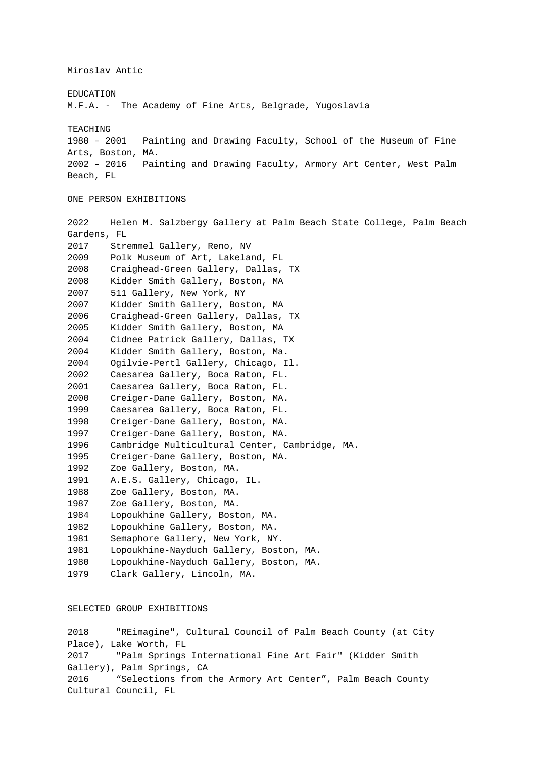Miroslav Antic

# EDUCATION

M.F.A. - The Academy of Fine Arts, Belgrade, Yugoslavia

#### TEACHING

1980 – 2001 Painting and Drawing Faculty, School of the Museum of Fine Arts, Boston, MA. 2002 – 2016 Painting and Drawing Faculty, Armory Art Center, West Palm Beach, FL

## ONE PERSON EXHIBITIONS

2022 Helen M. Salzbergy Gallery at Palm Beach State College, Palm Beach Gardens, FL 2017 Stremmel Gallery, Reno, NV 2009 Polk Museum of Art, Lakeland, FL 2008 Craighead-Green Gallery, Dallas, TX 2008 Kidder Smith Gallery, Boston, MA 2007 511 Gallery, New York, NY 2007 Kidder Smith Gallery, Boston, MA 2006 Craighead-Green Gallery, Dallas, TX 2005 Kidder Smith Gallery, Boston, MA 2004 Cidnee Patrick Gallery, Dallas, TX 2004 Kidder Smith Gallery, Boston, Ma. 2004 Ogilvie-Pertl Gallery, Chicago, Il. 2002 Caesarea Gallery, Boca Raton, FL. 2001 Caesarea Gallery, Boca Raton, FL. 2000 Creiger-Dane Gallery, Boston, MA. 1999 Caesarea Gallery, Boca Raton, FL. 1998 Creiger-Dane Gallery, Boston, MA. 1997 Creiger-Dane Gallery, Boston, MA. 1996 Cambridge Multicultural Center, Cambridge, MA. 1995 Creiger-Dane Gallery, Boston, MA. 1992 Zoe Gallery, Boston, MA. 1991 A.E.S. Gallery, Chicago, IL. 1988 Zoe Gallery, Boston, MA. 1987 Zoe Gallery, Boston, MA. 1984 Lopoukhine Gallery, Boston, MA. 1982 Lopoukhine Gallery, Boston, MA. 1981 Semaphore Gallery, New York, NY. 1981 Lopoukhine-Nayduch Gallery, Boston, MA. 1980 Lopoukhine-Nayduch Gallery, Boston, MA. 1979 Clark Gallery, Lincoln, MA.

# SELECTED GROUP EXHIBITIONS

2018 "REimagine", Cultural Council of Palm Beach County (at City Place), Lake Worth, FL 2017 "Palm Springs International Fine Art Fair" (Kidder Smith Gallery), Palm Springs, CA 2016 "Selections from the Armory Art Center", Palm Beach County Cultural Council, FL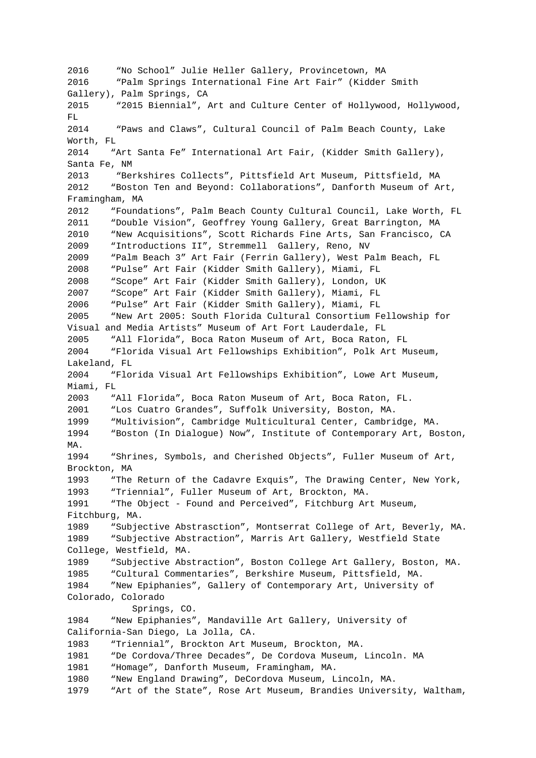2016 "No School" Julie Heller Gallery, Provincetown, MA 2016 "Palm Springs International Fine Art Fair" (Kidder Smith Gallery), Palm Springs, CA 2015 "2015 Biennial", Art and Culture Center of Hollywood, Hollywood, FL. 2014 "Paws and Claws", Cultural Council of Palm Beach County, Lake Worth, FL 2014 "Art Santa Fe" International Art Fair, (Kidder Smith Gallery), Santa Fe, NM 2013 "Berkshires Collects", Pittsfield Art Museum, Pittsfield, MA 2012 "Boston Ten and Beyond: Collaborations", Danforth Museum of Art, Framingham, MA 2012 "Foundations", Palm Beach County Cultural Council, Lake Worth, FL 2011 "Double Vision", Geoffrey Young Gallery, Great Barrington, MA 2010 "New Acquisitions", Scott Richards Fine Arts, San Francisco, CA 2009 "Introductions II", Stremmell Gallery, Reno, NV 2009 "Palm Beach 3" Art Fair (Ferrin Gallery), West Palm Beach, FL 2008 "Pulse" Art Fair (Kidder Smith Gallery), Miami, FL 2008 "Scope" Art Fair (Kidder Smith Gallery), London, UK 2007 "Scope" Art Fair (Kidder Smith Gallery), Miami, FL 2006 "Pulse" Art Fair (Kidder Smith Gallery), Miami, FL 2005 "New Art 2005: South Florida Cultural Consortium Fellowship for Visual and Media Artists" Museum of Art Fort Lauderdale, FL 2005 "All Florida", Boca Raton Museum of Art, Boca Raton, FL 2004 "Florida Visual Art Fellowships Exhibition", Polk Art Museum, Lakeland, FL 2004 "Florida Visual Art Fellowships Exhibition", Lowe Art Museum, Miami, FL 2003 "All Florida", Boca Raton Museum of Art, Boca Raton, FL. 2001 "Los Cuatro Grandes", Suffolk University, Boston, MA. 1999 "Multivision", Cambridge Multicultural Center, Cambridge, MA. 1994 "Boston (In Dialogue) Now", Institute of Contemporary Art, Boston, MA. 1994 "Shrines, Symbols, and Cherished Objects", Fuller Museum of Art, Brockton, MA 1993 "The Return of the Cadavre Exquis", The Drawing Center, New York, 1993 "Triennial", Fuller Museum of Art, Brockton, MA. 1991 "The Object - Found and Perceived", Fitchburg Art Museum, Fitchburg, MA. 1989 "Subjective Abstrasction", Montserrat College of Art, Beverly, MA. 1989 "Subjective Abstraction", Marris Art Gallery, Westfield State College, Westfield, MA. 1989 "Subjective Abstraction", Boston College Art Gallery, Boston, MA. 1985 "Cultural Commentaries", Berkshire Museum, Pittsfield, MA. 1984 "New Epiphanies", Gallery of Contemporary Art, University of Colorado, Colorado Springs, CO. 1984 "New Epiphanies", Mandaville Art Gallery, University of California-San Diego, La Jolla, CA. 1983 "Triennial", Brockton Art Museum, Brockton, MA. 1981 "De Cordova/Three Decades", De Cordova Museum, Lincoln. MA 1981 "Homage", Danforth Museum, Framingham, MA. 1980 "New England Drawing", DeCordova Museum, Lincoln, MA. 1979 "Art of the State", Rose Art Museum, Brandies University, Waltham,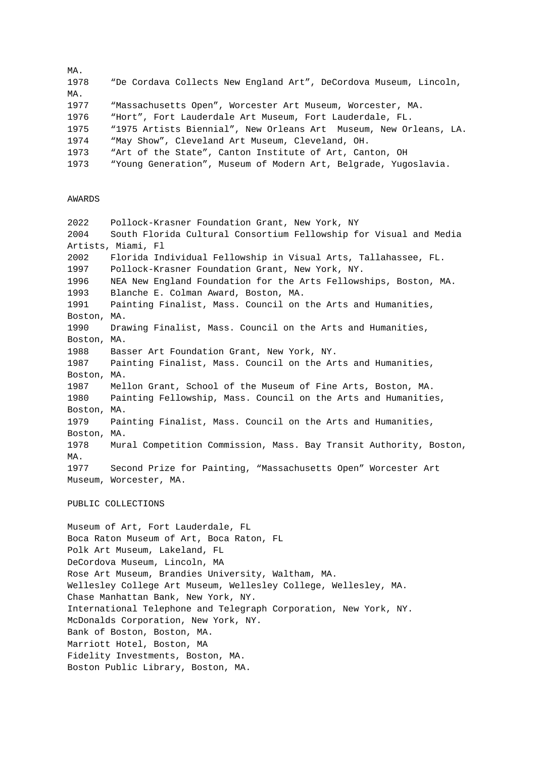MA. 1978 "De Cordava Collects New England Art", DeCordova Museum, Lincoln, MA. 1977 "Massachusetts Open", Worcester Art Museum, Worcester, MA. 1976 "Hort", Fort Lauderdale Art Museum, Fort Lauderdale, FL. 1975 "1975 Artists Biennial", New Orleans Art Museum, New Orleans, LA. 1974 "May Show", Cleveland Art Museum, Cleveland, OH. 1973 "Art of the State", Canton Institute of Art, Canton, OH 1973 "Young Generation", Museum of Modern Art, Belgrade, Yugoslavia.

## AWARDS

2022 Pollock-Krasner Foundation Grant, New York, NY 2004 South Florida Cultural Consortium Fellowship for Visual and Media Artists, Miami, Fl 2002 Florida Individual Fellowship in Visual Arts, Tallahassee, FL. 1997 Pollock-Krasner Foundation Grant, New York, NY. 1996 NEA New England Foundation for the Arts Fellowships, Boston, MA. 1993 Blanche E. Colman Award, Boston, MA. 1991 Painting Finalist, Mass. Council on the Arts and Humanities, Boston, MA. 1990 Drawing Finalist, Mass. Council on the Arts and Humanities, Boston, MA. 1988 Basser Art Foundation Grant, New York, NY. 1987 Painting Finalist, Mass. Council on the Arts and Humanities, Boston, MA. 1987 Mellon Grant, School of the Museum of Fine Arts, Boston, MA. 1980 Painting Fellowship, Mass. Council on the Arts and Humanities, Boston, MA. 1979 Painting Finalist, Mass. Council on the Arts and Humanities, Boston, MA. 1978 Mural Competition Commission, Mass. Bay Transit Authority, Boston, MA. 1977 Second Prize for Painting, "Massachusetts Open" Worcester Art Museum, Worcester, MA.

## PUBLIC COLLECTIONS

Museum of Art, Fort Lauderdale, FL Boca Raton Museum of Art, Boca Raton, FL Polk Art Museum, Lakeland, FL DeCordova Museum, Lincoln, MA Rose Art Museum, Brandies University, Waltham, MA. Wellesley College Art Museum, Wellesley College, Wellesley, MA. Chase Manhattan Bank, New York, NY. International Telephone and Telegraph Corporation, New York, NY. McDonalds Corporation, New York, NY. Bank of Boston, Boston, MA. Marriott Hotel, Boston, MA Fidelity Investments, Boston, MA. Boston Public Library, Boston, MA.